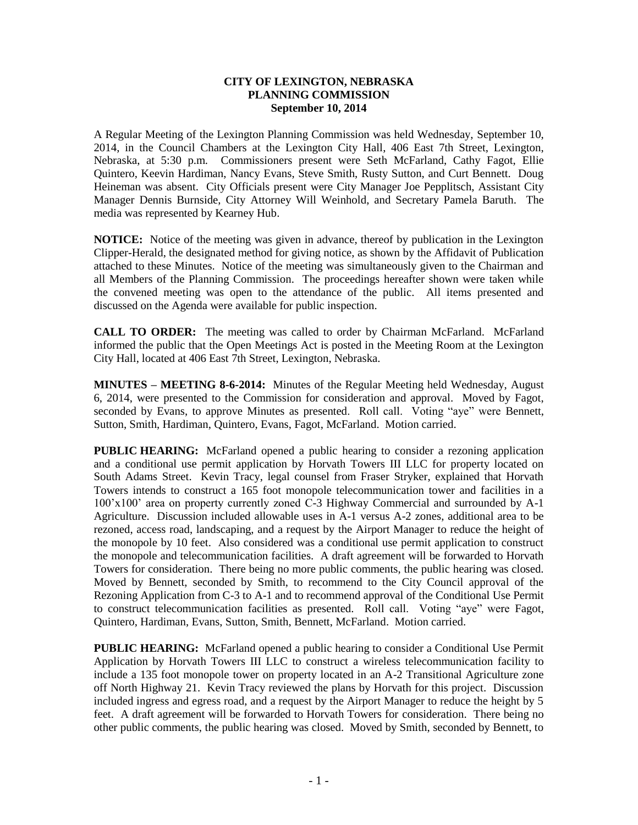## **CITY OF LEXINGTON, NEBRASKA PLANNING COMMISSION September 10, 2014**

A Regular Meeting of the Lexington Planning Commission was held Wednesday, September 10, 2014, in the Council Chambers at the Lexington City Hall, 406 East 7th Street, Lexington, Nebraska, at 5:30 p.m. Commissioners present were Seth McFarland, Cathy Fagot, Ellie Quintero, Keevin Hardiman, Nancy Evans, Steve Smith, Rusty Sutton, and Curt Bennett. Doug Heineman was absent. City Officials present were City Manager Joe Pepplitsch, Assistant City Manager Dennis Burnside, City Attorney Will Weinhold, and Secretary Pamela Baruth. The media was represented by Kearney Hub.

**NOTICE:** Notice of the meeting was given in advance, thereof by publication in the Lexington Clipper-Herald, the designated method for giving notice, as shown by the Affidavit of Publication attached to these Minutes. Notice of the meeting was simultaneously given to the Chairman and all Members of the Planning Commission. The proceedings hereafter shown were taken while the convened meeting was open to the attendance of the public. All items presented and discussed on the Agenda were available for public inspection.

**CALL TO ORDER:** The meeting was called to order by Chairman McFarland. McFarland informed the public that the Open Meetings Act is posted in the Meeting Room at the Lexington City Hall, located at 406 East 7th Street, Lexington, Nebraska.

**MINUTES – MEETING 8-6-2014:** Minutes of the Regular Meeting held Wednesday, August 6, 2014, were presented to the Commission for consideration and approval. Moved by Fagot, seconded by Evans, to approve Minutes as presented. Roll call. Voting "aye" were Bennett, Sutton, Smith, Hardiman, Quintero, Evans, Fagot, McFarland. Motion carried.

**PUBLIC HEARING:** McFarland opened a public hearing to consider a rezoning application and a conditional use permit application by Horvath Towers III LLC for property located on South Adams Street. Kevin Tracy, legal counsel from Fraser Stryker, explained that Horvath Towers intends to construct a 165 foot monopole telecommunication tower and facilities in a 100'x100' area on property currently zoned C-3 Highway Commercial and surrounded by A-1 Agriculture. Discussion included allowable uses in A-1 versus A-2 zones, additional area to be rezoned, access road, landscaping, and a request by the Airport Manager to reduce the height of the monopole by 10 feet. Also considered was a conditional use permit application to construct the monopole and telecommunication facilities. A draft agreement will be forwarded to Horvath Towers for consideration. There being no more public comments, the public hearing was closed. Moved by Bennett, seconded by Smith, to recommend to the City Council approval of the Rezoning Application from C-3 to A-1 and to recommend approval of the Conditional Use Permit to construct telecommunication facilities as presented. Roll call. Voting "aye" were Fagot, Quintero, Hardiman, Evans, Sutton, Smith, Bennett, McFarland. Motion carried.

**PUBLIC HEARING:** McFarland opened a public hearing to consider a Conditional Use Permit Application by Horvath Towers III LLC to construct a wireless telecommunication facility to include a 135 foot monopole tower on property located in an A-2 Transitional Agriculture zone off North Highway 21. Kevin Tracy reviewed the plans by Horvath for this project. Discussion included ingress and egress road, and a request by the Airport Manager to reduce the height by 5 feet. A draft agreement will be forwarded to Horvath Towers for consideration. There being no other public comments, the public hearing was closed. Moved by Smith, seconded by Bennett, to